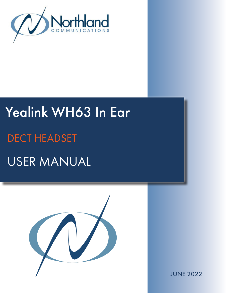

# Yealink WH63 In Ear USER MANUAL DECT HEADSET



JUNE 2022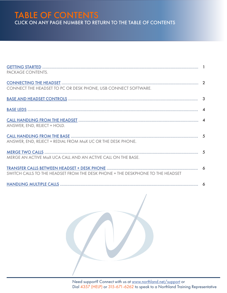## TABLE OF CONTENTS CLICK ON ANY PAGE NUMBER TO RETURN TO THE TABLE OF CONTENTS

| PACKAGE CONTENTS.                                                              |  |
|--------------------------------------------------------------------------------|--|
|                                                                                |  |
| CONNECT THE HEADSET TO PC OR DESK PHONE, USB CONNECT SOFTWARE.                 |  |
|                                                                                |  |
|                                                                                |  |
|                                                                                |  |
| ANSWER, END, REJECT + HOLD.                                                    |  |
|                                                                                |  |
| ANSWER, END, REJECT + REDIAL FROM MaX UC OR THE DESK PHONE.                    |  |
|                                                                                |  |
| MERGE AN ACTIVE MaX UCA CALL AND AN ACTIVE CALL ON THE BASE.                   |  |
|                                                                                |  |
| SWITCH CALLS TO THE HEADSET FROM THE DESK PHONE + THE DESKPHONE TO THE HEADSET |  |
|                                                                                |  |

Need support? Connect with us at [www.northland.net/support](http://northland.net/support) or Dial 4357 (HELP) or 315-671-6262 to speak to a Northland Training Representative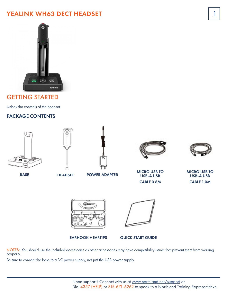## YEALINK WH63 DECT HEADSET



## <span id="page-2-0"></span>GETTING STARTED

Unbox the contents of the headset.

#### PACKAGE CONTENTS





BASE HEADSET POWER ADAPTER





 $\overline{1}$ 

MICRO USB TO USB-A USB CABLE 0.8M

MICRO USB TO USB-A USB CABLE 1.0M



EARHOOK + EARTIPS

QUICK START GUIDE

NOTES: You should use the included accessories as other accessories may have compatibility issues that prevent them from working properly.

Be sure to connect the base to a DC power supply, not just the USB power supply.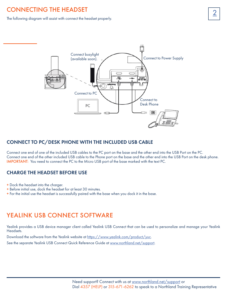## <span id="page-3-0"></span>**CONNECTING THE HEADSET**

The following diagram will assist with connect the headset properly.



#### CONNECT TO PC/DESK PHONE WITH THE INCLUDED USB CABLE

Connect one end of one of the included USB cables to the PC port on the base and the other end into the USB Port on the PC. Connect one end of the other included USB cable to the Phone port on the base and the other end into the USB Port on the desk phone. IMPORTANT: You need to connect the PC to the Micro USB port of the base marked with the text PC.

#### CHARGE THE HEADSET BEFORE USE

- + Dock the headset into the charger.
- + Before initial use, dock the headset for at least 30 minutes.
- + For the initial use the headset is successfully paired with the base when you dock it in the base.

#### YEALINK USB CONNECT SOFTWARE

Yealink provides a USB device manager client called Yealink USB Connect that can be used to personalize and manage your Yealink Headsets.

Download the software from the Yealink website at [https://www.yealink.com/product/yuc.](https://www.yealink.com/product/yuc)

See the separate Yealink USB Connect Quick Reference Guide at [www.northland.net/support](http://www.northland.net/support).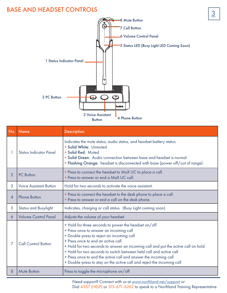## <span id="page-4-0"></span>BASE AND HEADSET CONTROLS



| No.            | <b>Name</b>                   | <b>Description</b>                                                                                                                                                                                                                                                                                                                                                                                                                                                                          |
|----------------|-------------------------------|---------------------------------------------------------------------------------------------------------------------------------------------------------------------------------------------------------------------------------------------------------------------------------------------------------------------------------------------------------------------------------------------------------------------------------------------------------------------------------------------|
|                | <b>Status Indicator Panel</b> | Indicates the mute status, audio status, and headset battery status.<br>+ Solid White: Unmuted<br>+ Solid Red: Muted<br>+ Solid Green: Audio connection between base and headset is normal<br>+ Flashing Orange: headset is disconnected with base (power off/out of range)                                                                                                                                                                                                                 |
| $\overline{2}$ | <b>PC</b> Button              | + Press to connect the headset to MaX UC to place a call.<br>+ Press to answer or end a MaX UC call.                                                                                                                                                                                                                                                                                                                                                                                        |
| 3              | <b>Voice Assistant Button</b> | Hold for two seconds to activate the voice assistant.                                                                                                                                                                                                                                                                                                                                                                                                                                       |
| 4              | <b>Phone Button</b>           | + Press to connect the headset to the desk phone to place a call.<br>+ Press to answer or end a call on the desk phone.                                                                                                                                                                                                                                                                                                                                                                     |
| 5              | <b>Status and Busylight</b>   | Indicates, charging or call status. (Busy Light coming soon)                                                                                                                                                                                                                                                                                                                                                                                                                                |
| 6              | <b>Volume Control Panel</b>   | Adjusts the volume of your headset                                                                                                                                                                                                                                                                                                                                                                                                                                                          |
| 7              | <b>Call Control Button</b>    | + Hold for three seconds to power the headset on/off<br>+ Press once to answer an incoming call<br>+ Double-press to reject an incoming call<br>+ Press once to end an active call<br>+ Hold for two seconds to answer an incoming call and put the active call on hold<br>+ Hold for two seconds to switch between held call and active call<br>+ Press once to end the active call and answer the incoming call<br>+ Double-press to stay on the active call and reject the incoming call |
| 8              | <b>Mute Button</b>            | Press to toggle the microphone on/off                                                                                                                                                                                                                                                                                                                                                                                                                                                       |

Need support? Connect with us at [www.northland.net/support](http://northland.net/support) or Dial 4357 (HELP) or 315-671-6262 to speak to a Northland Training Representative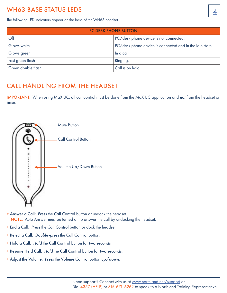## <span id="page-5-0"></span>WH63 BASE STATUS LEDS

The following LED indicators appear on the base of the WH63 headset.

| <b>PC DESK PHONE BUTTON</b> |                                                          |  |  |
|-----------------------------|----------------------------------------------------------|--|--|
| $\overline{Off}$            | PC/desk phone device is not connected.                   |  |  |
| Glows white                 | PC/desk phone device is connected and in the idle state. |  |  |
| Glows green                 | In a call.                                               |  |  |
| Fast green flash            | Ringing.                                                 |  |  |
| Green double flash          | Call is on hold.                                         |  |  |

#### <span id="page-5-1"></span>CALL HANDLING FROM THE HEADSET

IMPORTANT: When using MaX UC, all call control must be done from the MaX UC application and *not* from the headset or base.



- + Answer a Call: *Press* the Call Control button or undock the headset. NOTE: Auto Answer must be turned on to answer the call by undocking the headset.
- + End a Call: *Press* the Call Control button or dock the headset.
- + Reject a Call: *Double-press* the Call Control button.
- + Hold a Call: *Hold* the Call Control button for *two seconds*.
- + Resume Held Call: *Hold* the Call Control button for *two seconds.*
- + Adjust the Volume: *Press* the Volume Control button *up/down*.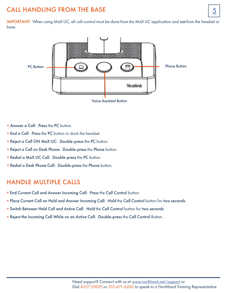## <span id="page-6-0"></span>CALL HANDLING FROM THE BASE  $\boxed{5}$

IMPORTANT: When using MaX UC, all call control must be done from the MaX UC application and *not* from the headset or base.



- + Answer a Call: *Press* the PC button.
- + End a Call: *Press* the PC button or dock the headset.
- + Reject a Call ON MaX UC: *Double-press* the PC button.
- + Reject a Call on Desk Phone: *Double-press* the Phone button.
- + Redial a MaX UC Call: *Double-press* the PC button.
- + Redial a Desk Phone Call: *Double-press* the Phone button.

#### <span id="page-6-1"></span>HANDLE MULTIPLE CALLS

- + End Current Call and Answer Incoming Call: *Press* the Call Control button.
- + Place Current Call on Hold and Answer Incoming Call: *Hold* the Call Control button for *two seconds*.
- + Switch Between Held Call and Active Call: *Hold* the Call Control button for *two seconds*.
- + Reject the Incoming Call While on an Active Call: *Double-press* the Call Control Button.